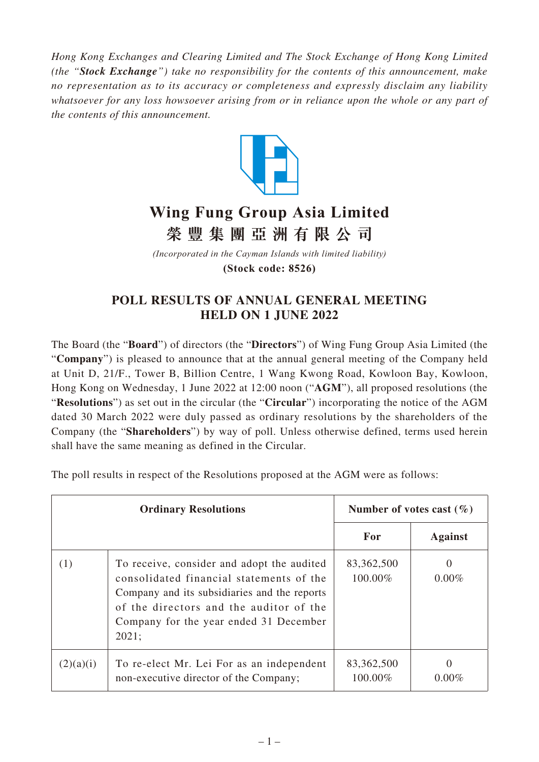*Hong Kong Exchanges and Clearing Limited and The Stock Exchange of Hong Kong Limited (the "Stock Exchange") take no responsibility for the contents of this announcement, make no representation as to its accuracy or completeness and expressly disclaim any liability whatsoever for any loss howsoever arising from or in reliance upon the whole or any part of the contents of this announcement.*



## **Wing Fung Group Asia Limited 榮豐集團亞洲有限 公 司**

*(Incorporated in the Cayman Islands with limited liability)* **(Stock code: 8526)**

## **POLL RESULTS OF ANNUAL GENERAL MEETING HELD ON 1 JUNE 2022**

The Board (the "**Board**") of directors (the "**Directors**") of Wing Fung Group Asia Limited (the "**Company**") is pleased to announce that at the annual general meeting of the Company held at Unit D, 21/F., Tower B, Billion Centre, 1 Wang Kwong Road, Kowloon Bay, Kowloon, Hong Kong on Wednesday, 1 June 2022 at 12:00 noon ("**AGM**"), all proposed resolutions (the "**Resolutions**") as set out in the circular (the "**Circular**") incorporating the notice of the AGM dated 30 March 2022 were duly passed as ordinary resolutions by the shareholders of the Company (the "**Shareholders**") by way of poll. Unless otherwise defined, terms used herein shall have the same meaning as defined in the Circular.

The poll results in respect of the Resolutions proposed at the AGM were as follows:

| <b>Ordinary Resolutions</b> |                                                                                                                                                                                                                                      | Number of votes cast $(\% )$ |                          |
|-----------------------------|--------------------------------------------------------------------------------------------------------------------------------------------------------------------------------------------------------------------------------------|------------------------------|--------------------------|
|                             |                                                                                                                                                                                                                                      | For                          | <b>Against</b>           |
| (1)                         | To receive, consider and adopt the audited<br>consolidated financial statements of the<br>Company and its subsidiaries and the reports<br>of the directors and the auditor of the<br>Company for the year ended 31 December<br>2021; | 83,362,500<br>100.00%        | $\mathbf{0}$<br>$0.00\%$ |
| (2)(a)(i)                   | To re-elect Mr. Lei For as an independent<br>non-executive director of the Company;                                                                                                                                                  | 83,362,500<br>100.00%        | $0.00\%$                 |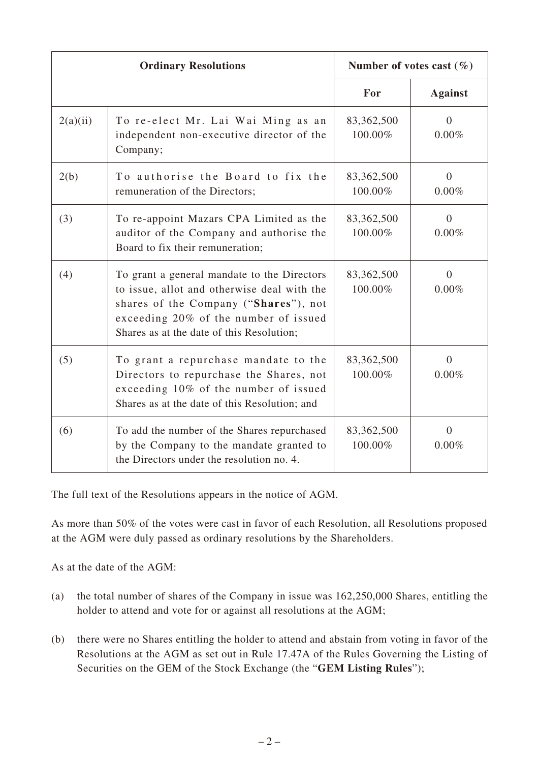| <b>Ordinary Resolutions</b> |                                                                                                                                                                                                                           | Number of votes cast $(\%)$ |                            |
|-----------------------------|---------------------------------------------------------------------------------------------------------------------------------------------------------------------------------------------------------------------------|-----------------------------|----------------------------|
|                             |                                                                                                                                                                                                                           | For                         | <b>Against</b>             |
| 2(a)(ii)                    | To re-elect Mr. Lai Wai Ming as an<br>independent non-executive director of the<br>Company;                                                                                                                               | 83,362,500<br>100.00%       | $\overline{0}$<br>$0.00\%$ |
| 2(b)                        | To authorise the Board to fix the<br>remuneration of the Directors;                                                                                                                                                       | 83,362,500<br>100.00%       | $\overline{0}$<br>0.00%    |
| (3)                         | To re-appoint Mazars CPA Limited as the<br>auditor of the Company and authorise the<br>Board to fix their remuneration;                                                                                                   | 83,362,500<br>100.00%       | $\Omega$<br>0.00%          |
| (4)                         | To grant a general mandate to the Directors<br>to issue, allot and otherwise deal with the<br>shares of the Company ("Shares"), not<br>exceeding 20% of the number of issued<br>Shares as at the date of this Resolution; | 83,362,500<br>100.00%       | $\overline{0}$<br>0.00%    |
| (5)                         | To grant a repurchase mandate to the<br>Directors to repurchase the Shares, not<br>exceeding 10% of the number of issued<br>Shares as at the date of this Resolution; and                                                 | 83,362,500<br>100.00%       | $\overline{0}$<br>0.00%    |
| (6)                         | To add the number of the Shares repurchased<br>by the Company to the mandate granted to<br>the Directors under the resolution no. 4.                                                                                      | 83,362,500<br>100.00%       | $\overline{0}$<br>0.00%    |

The full text of the Resolutions appears in the notice of AGM.

As more than 50% of the votes were cast in favor of each Resolution, all Resolutions proposed at the AGM were duly passed as ordinary resolutions by the Shareholders.

As at the date of the AGM:

- (a) the total number of shares of the Company in issue was 162,250,000 Shares, entitling the holder to attend and vote for or against all resolutions at the AGM;
- (b) there were no Shares entitling the holder to attend and abstain from voting in favor of the Resolutions at the AGM as set out in Rule 17.47A of the Rules Governing the Listing of Securities on the GEM of the Stock Exchange (the "**GEM Listing Rules**");